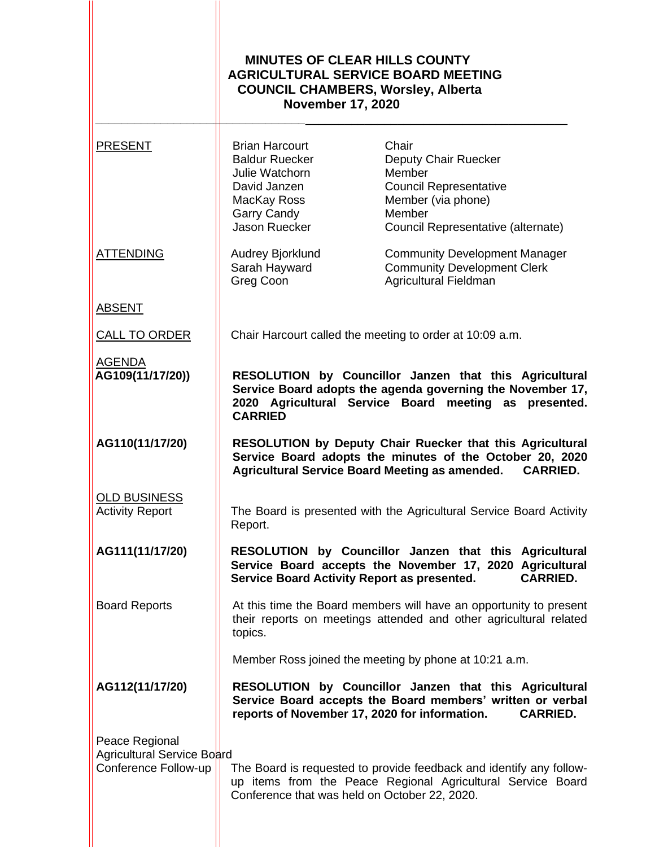|                                                                      | <b>MINUTES OF CLEAR HILLS COUNTY</b><br><b>AGRICULTURAL SERVICE BOARD MEETING</b><br><b>COUNCIL CHAMBERS, Worsley, Alberta</b><br><b>November 17, 2020</b>                                      |                                                                                                                                                |  |
|----------------------------------------------------------------------|-------------------------------------------------------------------------------------------------------------------------------------------------------------------------------------------------|------------------------------------------------------------------------------------------------------------------------------------------------|--|
| <b>PRESENT</b>                                                       | <b>Brian Harcourt</b><br><b>Baldur Ruecker</b><br>Julie Watchorn<br>David Janzen<br>MacKay Ross<br>Garry Candy<br>Jason Ruecker                                                                 | Chair<br>Deputy Chair Ruecker<br>Member<br><b>Council Representative</b><br>Member (via phone)<br>Member<br>Council Representative (alternate) |  |
| <b>ATTENDING</b>                                                     | Audrey Bjorklund<br>Sarah Hayward<br>Greg Coon                                                                                                                                                  | <b>Community Development Manager</b><br><b>Community Development Clerk</b><br>Agricultural Fieldman                                            |  |
| <b>ABSENT</b>                                                        |                                                                                                                                                                                                 |                                                                                                                                                |  |
| <b>CALL TO ORDER</b>                                                 | Chair Harcourt called the meeting to order at 10:09 a.m.                                                                                                                                        |                                                                                                                                                |  |
| <b>AGENDA</b><br>AG109(11/17/20))                                    | RESOLUTION by Councillor Janzen that this Agricultural<br>Service Board adopts the agenda governing the November 17,<br>2020 Agricultural Service Board meeting as presented.<br><b>CARRIED</b> |                                                                                                                                                |  |
| AG110(11/17/20)                                                      | RESOLUTION by Deputy Chair Ruecker that this Agricultural<br>Service Board adopts the minutes of the October 20, 2020<br>Agricultural Service Board Meeting as amended. CARRIED.                |                                                                                                                                                |  |
| <b>OLD BUSINESS</b><br><b>Activity Report</b>                        | The Board is presented with the Agricultural Service Board Activity<br>Report.                                                                                                                  |                                                                                                                                                |  |
| AG111(11/17/20)                                                      | Service Board Activity Report as presented.                                                                                                                                                     | RESOLUTION by Councillor Janzen that this Agricultural<br>Service Board accepts the November 17, 2020 Agricultural<br><b>CARRIED.</b>          |  |
| <b>Board Reports</b>                                                 | At this time the Board members will have an opportunity to present<br>their reports on meetings attended and other agricultural related<br>topics.                                              |                                                                                                                                                |  |
|                                                                      |                                                                                                                                                                                                 | Member Ross joined the meeting by phone at 10:21 a.m.                                                                                          |  |
| AG112(11/17/20)                                                      | reports of November 17, 2020 for information.                                                                                                                                                   | RESOLUTION by Councillor Janzen that this Agricultural<br>Service Board accepts the Board members' written or verbal<br><b>CARRIED.</b>        |  |
| Peace Regional<br>Agricultural Service Board<br>Conference Follow-up | Conference that was held on October 22, 2020.                                                                                                                                                   | The Board is requested to provide feedback and identify any follow-<br>up items from the Peace Regional Agricultural Service Board             |  |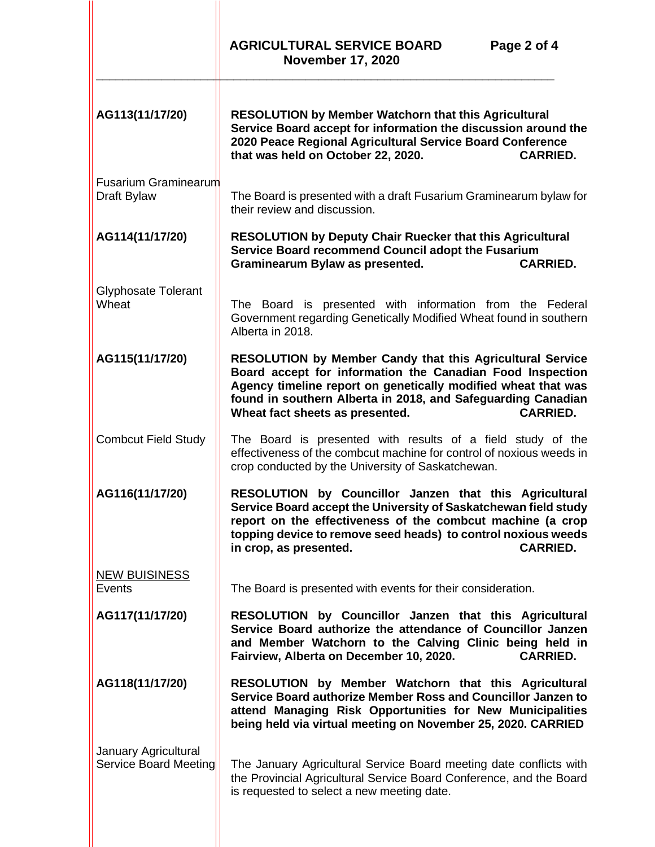|                                               | <b>AGRICULTURAL SERVICE BOARD</b><br>Page 2 of 4<br><b>November 17, 2020</b>                                                                                                                                                                                                                                         |  |  |
|-----------------------------------------------|----------------------------------------------------------------------------------------------------------------------------------------------------------------------------------------------------------------------------------------------------------------------------------------------------------------------|--|--|
| AG113(11/17/20)                               | <b>RESOLUTION by Member Watchorn that this Agricultural</b><br>Service Board accept for information the discussion around the<br>2020 Peace Regional Agricultural Service Board Conference<br>that was held on October 22, 2020.<br><b>CARRIED.</b>                                                                  |  |  |
| <b>Fusarium Graminearum</b><br>Draft Bylaw    | The Board is presented with a draft Fusarium Graminearum bylaw for<br>their review and discussion.                                                                                                                                                                                                                   |  |  |
| AG114(11/17/20)                               | <b>RESOLUTION by Deputy Chair Ruecker that this Agricultural</b><br>Service Board recommend Council adopt the Fusarium<br><b>CARRIED.</b><br>Graminearum Bylaw as presented.                                                                                                                                         |  |  |
| <b>Glyphosate Tolerant</b><br>Wheat           | The Board is presented with information from the Federal<br>Government regarding Genetically Modified Wheat found in southern<br>Alberta in 2018.                                                                                                                                                                    |  |  |
| AG115(11/17/20)                               | <b>RESOLUTION by Member Candy that this Agricultural Service</b><br>Board accept for information the Canadian Food Inspection<br>Agency timeline report on genetically modified wheat that was<br>found in southern Alberta in 2018, and Safeguarding Canadian<br>Wheat fact sheets as presented.<br><b>CARRIED.</b> |  |  |
| <b>Combcut Field Study</b>                    | The Board is presented with results of a field study of the<br>effectiveness of the combcut machine for control of noxious weeds in<br>crop conducted by the University of Saskatchewan.                                                                                                                             |  |  |
| AG116(11/17/20)                               | RESOLUTION by Councillor Janzen that this Agricultural<br>Service Board accept the University of Saskatchewan field study<br>report on the effectiveness of the combcut machine (a crop<br>topping device to remove seed heads) to control noxious weeds<br><b>CARRIED.</b><br>in crop, as presented.                |  |  |
| <b>NEW BUISINESS</b><br>Events                | The Board is presented with events for their consideration.                                                                                                                                                                                                                                                          |  |  |
| AG117(11/17/20)                               | RESOLUTION by Councillor Janzen that this Agricultural<br>Service Board authorize the attendance of Councillor Janzen<br>and Member Watchorn to the Calving Clinic being held in<br>Fairview, Alberta on December 10, 2020.<br><b>CARRIED.</b>                                                                       |  |  |
| AG118(11/17/20)                               | RESOLUTION by Member Watchorn that this Agricultural<br>Service Board authorize Member Ross and Councillor Janzen to<br>attend Managing Risk Opportunities for New Municipalities<br>being held via virtual meeting on November 25, 2020. CARRIED                                                                    |  |  |
| January Agricultural<br>Service Board Meeting | The January Agricultural Service Board meeting date conflicts with<br>the Provincial Agricultural Service Board Conference, and the Board<br>is requested to select a new meeting date.                                                                                                                              |  |  |
|                                               |                                                                                                                                                                                                                                                                                                                      |  |  |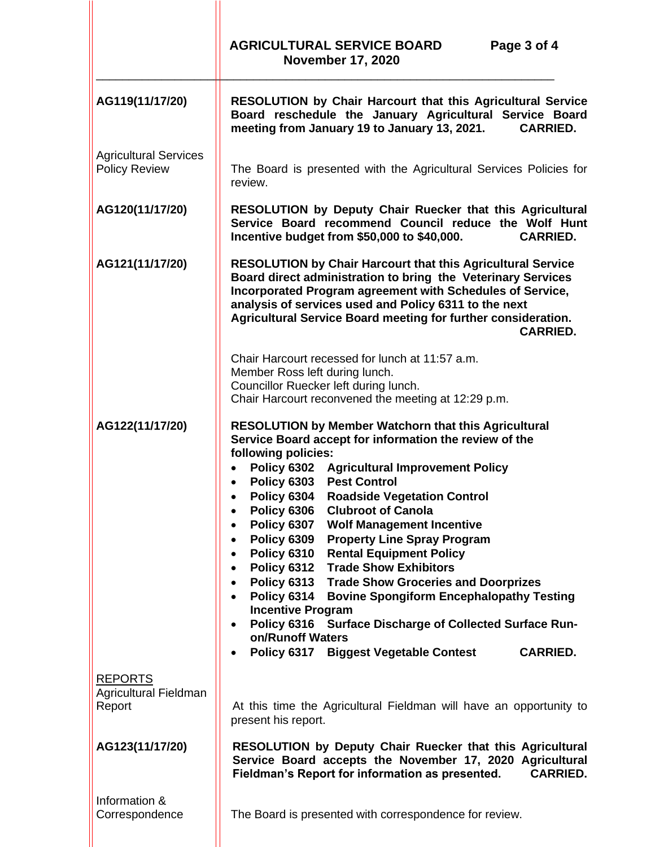|                                                      | <b>AGRICULTURAL SERVICE BOARD</b><br>Page 3 of 4<br><b>November 17, 2020</b>                                                                                                                                                                                                                                                                                                                                                                                                                                                                                                                                                                                                                                                                                                                                                                                                                                                       |  |
|------------------------------------------------------|------------------------------------------------------------------------------------------------------------------------------------------------------------------------------------------------------------------------------------------------------------------------------------------------------------------------------------------------------------------------------------------------------------------------------------------------------------------------------------------------------------------------------------------------------------------------------------------------------------------------------------------------------------------------------------------------------------------------------------------------------------------------------------------------------------------------------------------------------------------------------------------------------------------------------------|--|
| AG119(11/17/20)                                      | <b>RESOLUTION by Chair Harcourt that this Agricultural Service</b><br>Board reschedule the January Agricultural Service Board<br>meeting from January 19 to January 13, 2021.<br><b>CARRIED.</b>                                                                                                                                                                                                                                                                                                                                                                                                                                                                                                                                                                                                                                                                                                                                   |  |
| <b>Agricultural Services</b><br><b>Policy Review</b> | The Board is presented with the Agricultural Services Policies for<br>review.                                                                                                                                                                                                                                                                                                                                                                                                                                                                                                                                                                                                                                                                                                                                                                                                                                                      |  |
| AG120(11/17/20)                                      | RESOLUTION by Deputy Chair Ruecker that this Agricultural<br>Service Board recommend Council reduce the Wolf Hunt<br>Incentive budget from \$50,000 to \$40,000.<br><b>CARRIED.</b>                                                                                                                                                                                                                                                                                                                                                                                                                                                                                                                                                                                                                                                                                                                                                |  |
| AG121(11/17/20)                                      | <b>RESOLUTION by Chair Harcourt that this Agricultural Service</b><br>Board direct administration to bring the Veterinary Services<br>Incorporated Program agreement with Schedules of Service,<br>analysis of services used and Policy 6311 to the next<br>Agricultural Service Board meeting for further consideration.<br><b>CARRIED.</b>                                                                                                                                                                                                                                                                                                                                                                                                                                                                                                                                                                                       |  |
|                                                      | Chair Harcourt recessed for lunch at 11:57 a.m.<br>Member Ross left during lunch.<br>Councillor Ruecker left during lunch.<br>Chair Harcourt reconvened the meeting at 12:29 p.m.                                                                                                                                                                                                                                                                                                                                                                                                                                                                                                                                                                                                                                                                                                                                                  |  |
| AG122(11/17/20)                                      | <b>RESOLUTION by Member Watchorn that this Agricultural</b><br>Service Board accept for information the review of the<br>following policies:<br>Policy 6302 Agricultural Improvement Policy<br>Policy 6303 Pest Control<br>Policy 6304<br><b>Roadside Vegetation Control</b><br>Policy 6306<br><b>Clubroot of Canola</b><br>$\bullet$<br>Policy 6307<br><b>Wolf Management Incentive</b><br>Policy 6309<br><b>Property Line Spray Program</b><br>Policy 6310<br><b>Rental Equipment Policy</b><br>$\bullet$<br><b>Trade Show Exhibitors</b><br><b>Policy 6312</b><br>$\bullet$<br><b>Policy 6313</b><br><b>Trade Show Groceries and Doorprizes</b><br>$\bullet$<br>Policy 6314<br><b>Bovine Spongiform Encephalopathy Testing</b><br><b>Incentive Program</b><br>Policy 6316 Surface Discharge of Collected Surface Run-<br>$\bullet$<br>on/Runoff Waters<br>Policy 6317 Biggest Vegetable Contest<br><b>CARRIED.</b><br>$\bullet$ |  |
| <b>REPORTS</b><br>Agricultural Fieldman<br>Report    | At this time the Agricultural Fieldman will have an opportunity to<br>present his report.                                                                                                                                                                                                                                                                                                                                                                                                                                                                                                                                                                                                                                                                                                                                                                                                                                          |  |
| AG123(11/17/20)                                      | <b>RESOLUTION by Deputy Chair Ruecker that this Agricultural</b><br>Service Board accepts the November 17, 2020 Agricultural<br>Fieldman's Report for information as presented.<br><b>CARRIED.</b>                                                                                                                                                                                                                                                                                                                                                                                                                                                                                                                                                                                                                                                                                                                                 |  |
| Information &<br>Correspondence                      | The Board is presented with correspondence for review.                                                                                                                                                                                                                                                                                                                                                                                                                                                                                                                                                                                                                                                                                                                                                                                                                                                                             |  |